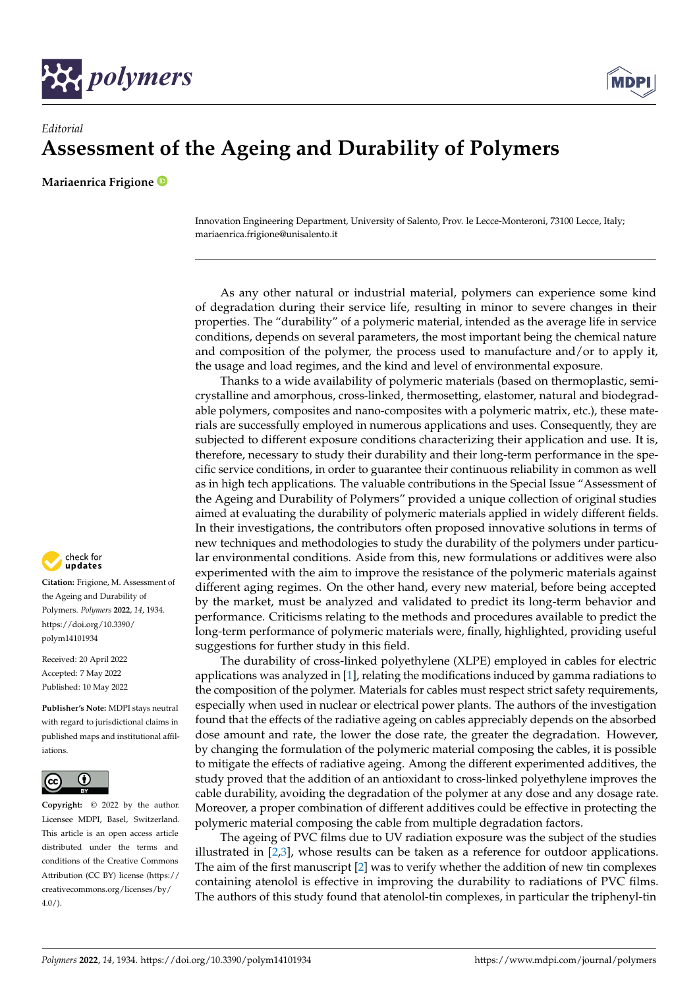



## *Editorial* **Assessment of the Ageing and Durability of Polymers**

**Mariaenrica Frigione**

Innovation Engineering Department, University of Salento, Prov. le Lecce-Monteroni, 73100 Lecce, Italy; mariaenrica.frigione@unisalento.it

As any other natural or industrial material, polymers can experience some kind of degradation during their service life, resulting in minor to severe changes in their properties. The "durability" of a polymeric material, intended as the average life in service conditions, depends on several parameters, the most important being the chemical nature and composition of the polymer, the process used to manufacture and/or to apply it, the usage and load regimes, and the kind and level of environmental exposure.

Thanks to a wide availability of polymeric materials (based on thermoplastic, semicrystalline and amorphous, cross-linked, thermosetting, elastomer, natural and biodegradable polymers, composites and nano-composites with a polymeric matrix, etc.), these materials are successfully employed in numerous applications and uses. Consequently, they are subjected to different exposure conditions characterizing their application and use. It is, therefore, necessary to study their durability and their long-term performance in the specific service conditions, in order to guarantee their continuous reliability in common as well as in high tech applications. The valuable contributions in the Special Issue "Assessment of the Ageing and Durability of Polymers" provided a unique collection of original studies aimed at evaluating the durability of polymeric materials applied in widely different fields. In their investigations, the contributors often proposed innovative solutions in terms of new techniques and methodologies to study the durability of the polymers under particular environmental conditions. Aside from this, new formulations or additives were also experimented with the aim to improve the resistance of the polymeric materials against different aging regimes. On the other hand, every new material, before being accepted by the market, must be analyzed and validated to predict its long-term behavior and performance. Criticisms relating to the methods and procedures available to predict the long-term performance of polymeric materials were, finally, highlighted, providing useful suggestions for further study in this field.

The durability of cross-linked polyethylene (XLPE) employed in cables for electric applications was analyzed in [\[1\]](#page-3-0), relating the modifications induced by gamma radiations to the composition of the polymer. Materials for cables must respect strict safety requirements, especially when used in nuclear or electrical power plants. The authors of the investigation found that the effects of the radiative ageing on cables appreciably depends on the absorbed dose amount and rate, the lower the dose rate, the greater the degradation. However, by changing the formulation of the polymeric material composing the cables, it is possible to mitigate the effects of radiative ageing. Among the different experimented additives, the study proved that the addition of an antioxidant to cross-linked polyethylene improves the cable durability, avoiding the degradation of the polymer at any dose and any dosage rate. Moreover, a proper combination of different additives could be effective in protecting the polymeric material composing the cable from multiple degradation factors.

The ageing of PVC films due to UV radiation exposure was the subject of the studies illustrated in [\[2](#page-3-1)[,3\]](#page-3-2), whose results can be taken as a reference for outdoor applications. The aim of the first manuscript [\[2\]](#page-3-1) was to verify whether the addition of new tin complexes containing atenolol is effective in improving the durability to radiations of PVC films. The authors of this study found that atenolol-tin complexes, in particular the triphenyl-tin



**Citation:** Frigione, M. Assessment of the Ageing and Durability of Polymers. *Polymers* **2022**, *14*, 1934. [https://doi.org/10.3390/](https://doi.org/10.3390/polym14101934) [polym14101934](https://doi.org/10.3390/polym14101934)

Received: 20 April 2022 Accepted: 7 May 2022 Published: 10 May 2022

**Publisher's Note:** MDPI stays neutral with regard to jurisdictional claims in published maps and institutional affiliations.



**Copyright:** © 2022 by the author. Licensee MDPI, Basel, Switzerland. This article is an open access article distributed under the terms and conditions of the Creative Commons Attribution (CC BY) license [\(https://](https://creativecommons.org/licenses/by/4.0/) [creativecommons.org/licenses/by/](https://creativecommons.org/licenses/by/4.0/)  $4.0/$ ).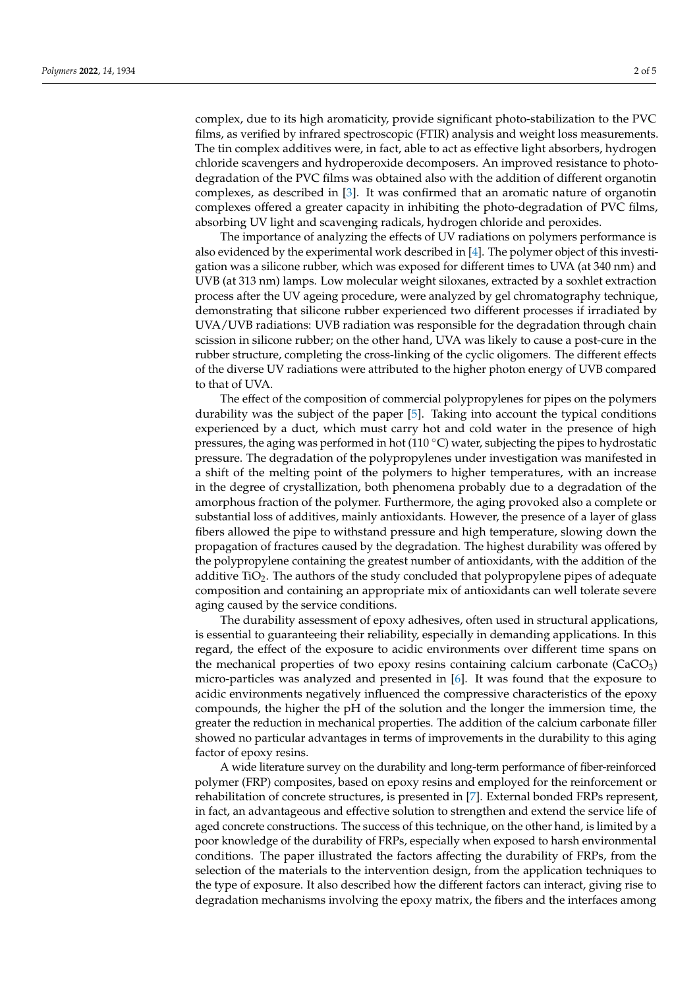complex, due to its high aromaticity, provide significant photo-stabilization to the PVC films, as verified by infrared spectroscopic (FTIR) analysis and weight loss measurements. The tin complex additives were, in fact, able to act as effective light absorbers, hydrogen chloride scavengers and hydroperoxide decomposers. An improved resistance to photodegradation of the PVC films was obtained also with the addition of different organotin complexes, as described in [\[3\]](#page-3-2). It was confirmed that an aromatic nature of organotin complexes offered a greater capacity in inhibiting the photo-degradation of PVC films, absorbing UV light and scavenging radicals, hydrogen chloride and peroxides.

The importance of analyzing the effects of UV radiations on polymers performance is also evidenced by the experimental work described in [\[4\]](#page-3-3). The polymer object of this investigation was a silicone rubber, which was exposed for different times to UVA (at 340 nm) and UVB (at 313 nm) lamps. Low molecular weight siloxanes, extracted by a soxhlet extraction process after the UV ageing procedure, were analyzed by gel chromatography technique, demonstrating that silicone rubber experienced two different processes if irradiated by UVA/UVB radiations: UVB radiation was responsible for the degradation through chain scission in silicone rubber; on the other hand, UVA was likely to cause a post-cure in the rubber structure, completing the cross-linking of the cyclic oligomers. The different effects of the diverse UV radiations were attributed to the higher photon energy of UVB compared to that of UVA.

The effect of the composition of commercial polypropylenes for pipes on the polymers durability was the subject of the paper [\[5\]](#page-3-4). Taking into account the typical conditions experienced by a duct, which must carry hot and cold water in the presence of high pressures, the aging was performed in hot  $(110 \degree C)$  water, subjecting the pipes to hydrostatic pressure. The degradation of the polypropylenes under investigation was manifested in a shift of the melting point of the polymers to higher temperatures, with an increase in the degree of crystallization, both phenomena probably due to a degradation of the amorphous fraction of the polymer. Furthermore, the aging provoked also a complete or substantial loss of additives, mainly antioxidants. However, the presence of a layer of glass fibers allowed the pipe to withstand pressure and high temperature, slowing down the propagation of fractures caused by the degradation. The highest durability was offered by the polypropylene containing the greatest number of antioxidants, with the addition of the additive  $TiO<sub>2</sub>$ . The authors of the study concluded that polypropylene pipes of adequate composition and containing an appropriate mix of antioxidants can well tolerate severe aging caused by the service conditions.

The durability assessment of epoxy adhesives, often used in structural applications, is essential to guaranteeing their reliability, especially in demanding applications. In this regard, the effect of the exposure to acidic environments over different time spans on the mechanical properties of two epoxy resins containing calcium carbonate  $(CaCO<sub>3</sub>)$ micro-particles was analyzed and presented in [\[6\]](#page-3-5). It was found that the exposure to acidic environments negatively influenced the compressive characteristics of the epoxy compounds, the higher the pH of the solution and the longer the immersion time, the greater the reduction in mechanical properties. The addition of the calcium carbonate filler showed no particular advantages in terms of improvements in the durability to this aging factor of epoxy resins.

A wide literature survey on the durability and long-term performance of fiber-reinforced polymer (FRP) composites, based on epoxy resins and employed for the reinforcement or rehabilitation of concrete structures, is presented in [\[7\]](#page-4-0). External bonded FRPs represent, in fact, an advantageous and effective solution to strengthen and extend the service life of aged concrete constructions. The success of this technique, on the other hand, is limited by a poor knowledge of the durability of FRPs, especially when exposed to harsh environmental conditions. The paper illustrated the factors affecting the durability of FRPs, from the selection of the materials to the intervention design, from the application techniques to the type of exposure. It also described how the different factors can interact, giving rise to degradation mechanisms involving the epoxy matrix, the fibers and the interfaces among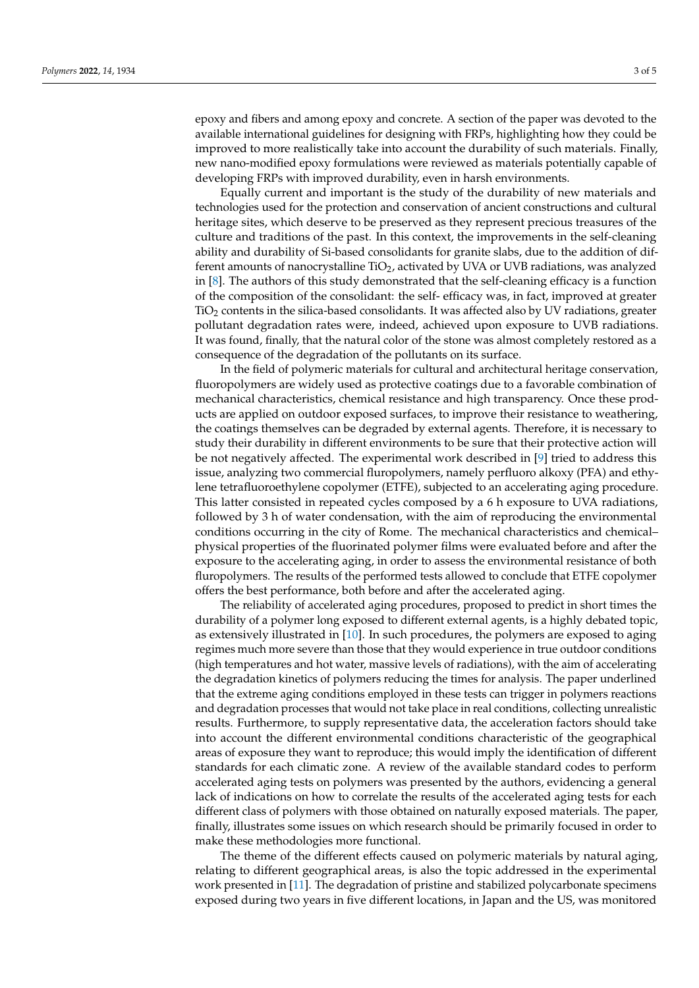epoxy and fibers and among epoxy and concrete. A section of the paper was devoted to the available international guidelines for designing with FRPs, highlighting how they could be improved to more realistically take into account the durability of such materials. Finally, new nano-modified epoxy formulations were reviewed as materials potentially capable of developing FRPs with improved durability, even in harsh environments.

Equally current and important is the study of the durability of new materials and technologies used for the protection and conservation of ancient constructions and cultural heritage sites, which deserve to be preserved as they represent precious treasures of the culture and traditions of the past. In this context, the improvements in the self-cleaning ability and durability of Si-based consolidants for granite slabs, due to the addition of different amounts of nanocrystalline TiO2, activated by UVA or UVB radiations, was analyzed in [\[8\]](#page-4-1). The authors of this study demonstrated that the self-cleaning efficacy is a function of the composition of the consolidant: the self- efficacy was, in fact, improved at greater TiO<sup>2</sup> contents in the silica-based consolidants. It was affected also by UV radiations, greater pollutant degradation rates were, indeed, achieved upon exposure to UVB radiations. It was found, finally, that the natural color of the stone was almost completely restored as a consequence of the degradation of the pollutants on its surface.

In the field of polymeric materials for cultural and architectural heritage conservation, fluoropolymers are widely used as protective coatings due to a favorable combination of mechanical characteristics, chemical resistance and high transparency. Once these products are applied on outdoor exposed surfaces, to improve their resistance to weathering, the coatings themselves can be degraded by external agents. Therefore, it is necessary to study their durability in different environments to be sure that their protective action will be not negatively affected. The experimental work described in [\[9\]](#page-4-2) tried to address this issue, analyzing two commercial fluropolymers, namely perfluoro alkoxy (PFA) and ethylene tetrafluoroethylene copolymer (ETFE), subjected to an accelerating aging procedure. This latter consisted in repeated cycles composed by a 6 h exposure to UVA radiations, followed by 3 h of water condensation, with the aim of reproducing the environmental conditions occurring in the city of Rome. The mechanical characteristics and chemical– physical properties of the fluorinated polymer films were evaluated before and after the exposure to the accelerating aging, in order to assess the environmental resistance of both fluropolymers. The results of the performed tests allowed to conclude that ETFE copolymer offers the best performance, both before and after the accelerated aging.

The reliability of accelerated aging procedures, proposed to predict in short times the durability of a polymer long exposed to different external agents, is a highly debated topic, as extensively illustrated in [\[10\]](#page-4-3). In such procedures, the polymers are exposed to aging regimes much more severe than those that they would experience in true outdoor conditions (high temperatures and hot water, massive levels of radiations), with the aim of accelerating the degradation kinetics of polymers reducing the times for analysis. The paper underlined that the extreme aging conditions employed in these tests can trigger in polymers reactions and degradation processes that would not take place in real conditions, collecting unrealistic results. Furthermore, to supply representative data, the acceleration factors should take into account the different environmental conditions characteristic of the geographical areas of exposure they want to reproduce; this would imply the identification of different standards for each climatic zone. A review of the available standard codes to perform accelerated aging tests on polymers was presented by the authors, evidencing a general lack of indications on how to correlate the results of the accelerated aging tests for each different class of polymers with those obtained on naturally exposed materials. The paper, finally, illustrates some issues on which research should be primarily focused in order to make these methodologies more functional.

The theme of the different effects caused on polymeric materials by natural aging, relating to different geographical areas, is also the topic addressed in the experimental work presented in [\[11\]](#page-4-4). The degradation of pristine and stabilized polycarbonate specimens exposed during two years in five different locations, in Japan and the US, was monitored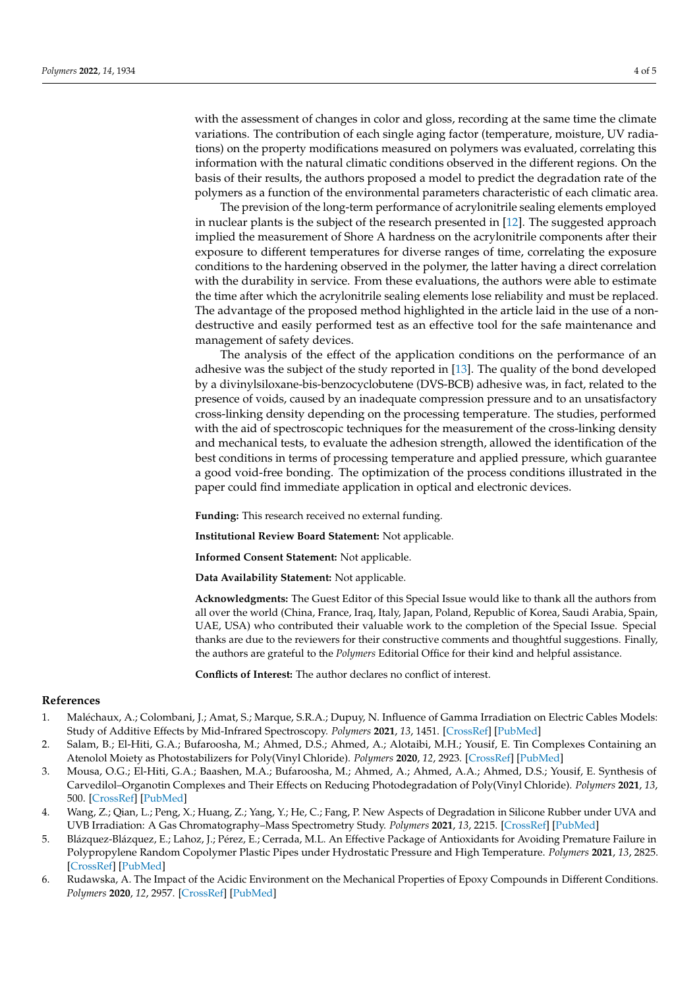with the assessment of changes in color and gloss, recording at the same time the climate variations. The contribution of each single aging factor (temperature, moisture, UV radiations) on the property modifications measured on polymers was evaluated, correlating this information with the natural climatic conditions observed in the different regions. On the basis of their results, the authors proposed a model to predict the degradation rate of the polymers as a function of the environmental parameters characteristic of each climatic area.

The prevision of the long-term performance of acrylonitrile sealing elements employed in nuclear plants is the subject of the research presented in [\[12\]](#page-4-5). The suggested approach implied the measurement of Shore A hardness on the acrylonitrile components after their exposure to different temperatures for diverse ranges of time, correlating the exposure conditions to the hardening observed in the polymer, the latter having a direct correlation with the durability in service. From these evaluations, the authors were able to estimate the time after which the acrylonitrile sealing elements lose reliability and must be replaced. The advantage of the proposed method highlighted in the article laid in the use of a nondestructive and easily performed test as an effective tool for the safe maintenance and management of safety devices.

The analysis of the effect of the application conditions on the performance of an adhesive was the subject of the study reported in [\[13\]](#page-4-6). The quality of the bond developed by a divinylsiloxane-bis-benzocyclobutene (DVS-BCB) adhesive was, in fact, related to the presence of voids, caused by an inadequate compression pressure and to an unsatisfactory cross-linking density depending on the processing temperature. The studies, performed with the aid of spectroscopic techniques for the measurement of the cross-linking density and mechanical tests, to evaluate the adhesion strength, allowed the identification of the best conditions in terms of processing temperature and applied pressure, which guarantee a good void-free bonding. The optimization of the process conditions illustrated in the paper could find immediate application in optical and electronic devices.

**Funding:** This research received no external funding.

**Institutional Review Board Statement:** Not applicable.

**Informed Consent Statement:** Not applicable.

**Data Availability Statement:** Not applicable.

**Acknowledgments:** The Guest Editor of this Special Issue would like to thank all the authors from all over the world (China, France, Iraq, Italy, Japan, Poland, Republic of Korea, Saudi Arabia, Spain, UAE, USA) who contributed their valuable work to the completion of the Special Issue. Special thanks are due to the reviewers for their constructive comments and thoughtful suggestions. Finally, the authors are grateful to the *Polymers* Editorial Office for their kind and helpful assistance.

**Conflicts of Interest:** The author declares no conflict of interest.

## **References**

- <span id="page-3-0"></span>1. Maléchaux, A.; Colombani, J.; Amat, S.; Marque, S.R.A.; Dupuy, N. Influence of Gamma Irradiation on Electric Cables Models: Study of Additive Effects by Mid-Infrared Spectroscopy. *Polymers* **2021**, *13*, 1451. [\[CrossRef\]](http://doi.org/10.3390/polym13091451) [\[PubMed\]](http://www.ncbi.nlm.nih.gov/pubmed/33946155)
- <span id="page-3-1"></span>2. Salam, B.; El-Hiti, G.A.; Bufaroosha, M.; Ahmed, D.S.; Ahmed, A.; Alotaibi, M.H.; Yousif, E. Tin Complexes Containing an Atenolol Moiety as Photostabilizers for Poly(Vinyl Chloride). *Polymers* **2020**, *12*, 2923. [\[CrossRef\]](http://doi.org/10.3390/polym12122923) [\[PubMed\]](http://www.ncbi.nlm.nih.gov/pubmed/33291282)
- <span id="page-3-2"></span>3. Mousa, O.G.; El-Hiti, G.A.; Baashen, M.A.; Bufaroosha, M.; Ahmed, A.; Ahmed, A.A.; Ahmed, D.S.; Yousif, E. Synthesis of Carvedilol–Organotin Complexes and Their Effects on Reducing Photodegradation of Poly(Vinyl Chloride). *Polymers* **2021**, *13*, 500. [\[CrossRef\]](http://doi.org/10.3390/polym13040500) [\[PubMed\]](http://www.ncbi.nlm.nih.gov/pubmed/33561971)
- <span id="page-3-3"></span>4. Wang, Z.; Qian, L.; Peng, X.; Huang, Z.; Yang, Y.; He, C.; Fang, P. New Aspects of Degradation in Silicone Rubber under UVA and UVB Irradiation: A Gas Chromatography–Mass Spectrometry Study. *Polymers* **2021**, *13*, 2215. [\[CrossRef\]](http://doi.org/10.3390/polym13132215) [\[PubMed\]](http://www.ncbi.nlm.nih.gov/pubmed/34279359)
- <span id="page-3-4"></span>5. Blázquez-Blázquez, E.; Lahoz, J.; Pérez, E.; Cerrada, M.L. An Effective Package of Antioxidants for Avoiding Premature Failure in Polypropylene Random Copolymer Plastic Pipes under Hydrostatic Pressure and High Temperature. *Polymers* **2021**, *13*, 2825. [\[CrossRef\]](http://doi.org/10.3390/polym13162825) [\[PubMed\]](http://www.ncbi.nlm.nih.gov/pubmed/34451363)
- <span id="page-3-5"></span>6. Rudawska, A. The Impact of the Acidic Environment on the Mechanical Properties of Epoxy Compounds in Different Conditions. *Polymers* **2020**, *12*, 2957. [\[CrossRef\]](http://doi.org/10.3390/polym12122957) [\[PubMed\]](http://www.ncbi.nlm.nih.gov/pubmed/33322071)